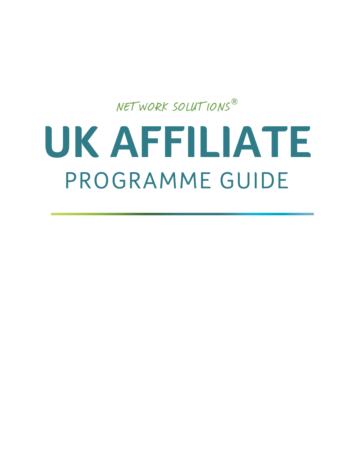# NETWORK SOLUTIONS**® UK AFFILIATE**

## PROGRAMME GUIDE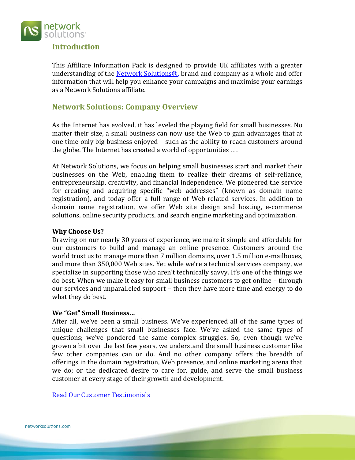

#### **Introduction**

This Affiliate Information Pack is designed to provide UK affiliates with a greater understanding of the Network Solutions<sup>®</sup>, brand and company as a whole and offer information that will help you enhance your campaigns and maximise your earnings as a Network Solutions affiliate.

#### **Network Solutions: Company Overview**

As the Internet has evolved, it has leveled the playing field for small businesses. No matter their size, a small business can now use the Web to gain advantages that at one time only big business enjoyed – such as the ability to reach customers around the globe. The Internet has created a world of opportunities . . .

At Network Solutions, we focus on helping small businesses start and market their businesses on the Web, enabling them to realize their dreams of self-reliance, entrepreneurship, creativity, and financial independence. We pioneered the service for creating and acquiring specific "web addresses" (known as domain name registration), and today offer a full range of Web-related services. In addition to domain name registration, we offer Web site design and hosting, e-commerce solutions, online security products, and search engine marketing and optimization.

#### **Why Choose Us?**

Drawing on our nearly 30 years of experience, we make it simple and affordable for our customers to build and manage an online presence. Customers around the world trust us to manage more than 7 million domains, over 1.5 million e-mailboxes, and more than 350,000 Web sites. Yet while we're a technical services company, we specialize in supporting those who aren't technically savvy. It's one of the things we do best. When we make it easy for small business customers to get online – through our services and unparalleled support – then they have more time and energy to do what they do best.

#### **We "Get" Small Business…**

After all, we've been a small business. We've experienced all of the same types of unique challenges that small businesses face. We've asked the same types of questions; we've pondered the same complex struggles. So, even though we've grown a bit over the last few years, we understand the small business customer like few other companies can or do. And no other company offers the breadth of offerings in the domain registration, Web presence, and online marketing arena that we do; or the dedicated desire to care for, guide, and serve the small business customer at every stage of their growth and development.

[Read Our Customer Testimonials](http://about.networksolutions.com/site/customer-testimonials/)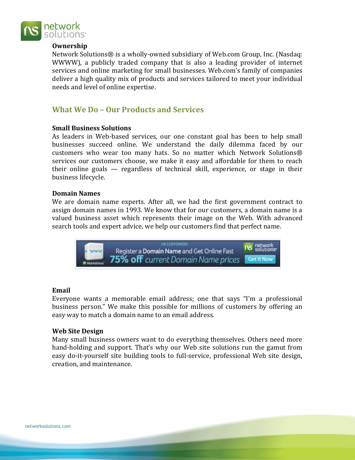

#### **Ownership**

Network Solutions® is a wholly-owned subsidiary of Web.com Group, Inc. (Nasdaq: WWWW), a publicly traded company that is also a leading provider of internet services and online marketing for small businesses. Web.com's family of companies deliver a high quality mix of products and services tailored to meet your individual needs and level of online expertise.

#### **What We Do – Our Products and Services**

#### **Small Business Solutions**

As leaders in Web-based services, our one constant goal has been to help small businesses succeed online. We understand the daily dilemma faced by our customers who wear too many hats. So no matter which Network Solutions® services our customers choose, we make it easy and affordable for them to reach their online goals — regardless of technical skill, experience, or stage in their business lifecycle.

#### **Domain Names**

We are domain name experts. After all, we had the first government contract to assign domain names in 1993. We know that for our customers, a domain name is a valued business asset which represents their image on the Web. With advanced search tools and expert advice, we help our customers find that perfect name.



#### **Email**

Everyone wants a memorable email address; one that says "I'm a professional business person." We make this possible for millions of customers by offering an easy way to match a domain name to an email address.

#### **Web Site Design**

Many small business owners want to do everything themselves. Others need more hand-holding and support. That's why our Web site solutions run the gamut from easy do-it-yourself site building tools to full-service, professional Web site design, creation, and maintenance.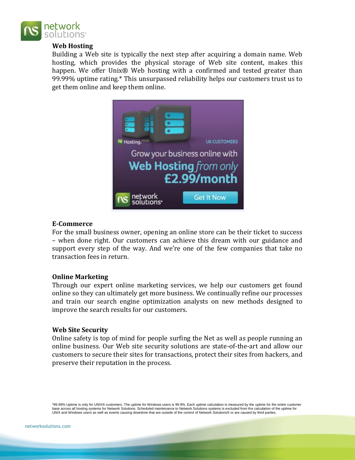

#### **Web Hosting**

Building a Web site is typically the next step after acquiring a domain name. Web hosting, which provides the physical storage of Web site content, makes this happen. We offer Unix® Web hosting with a confirmed and tested greater than 99.99% uptime rating.\* This unsurpassed reliability helps our customers trust us to get them online and keep them online.



#### **E-Commerce**

For the small business owner, opening an online store can be their ticket to success – when done right. Our customers can achieve this dream with our guidance and support every step of the way. And we're one of the few companies that take no transaction fees in return.

#### **Online Marketing**

Through our expert online marketing services, we help our customers get found online so they can ultimately get more business. We continually refine our processes and train our search engine optimization analysts on new methods designed to improve the search results for our customers.

#### **Web Site Security**

Online safety is top of mind for people surfing the Net as well as people running an online business. Our Web site security solutions are state-of-the-art and allow our customers to secure their sites for transactions, protect their sites from hackers, and preserve their reputation in the process.

\*99.99% Uptime is only for UNIX® customers. The uptime for Windows users is 99.9%. Each uptime calculation is measured by the uptime for the entire customer base across all hosting systems for Network Solutions. Scheduled maintenance to Network Solutions systems is excluded from the calculation of the uptime for UNIX and Windows users as well as events causing downtime that are outside of the control of Network Solutions® or are caused by third parties.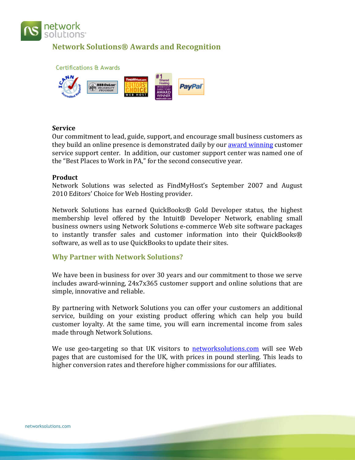

#### **Network Solutions® Awards and Recognition**





#### **Service**

Our commitment to lead, guide, support, and encourage small business customers as they build an online presence is demonstrated daily by our [award winning](http://www.about-networksolutions.com/jd-power.php) customer service support center. In addition, our customer support center was named one of the "Best Places to Work in PA," for the second consecutive year.

#### **Product**

Network Solutions was selected as FindMyHost's September 2007 and August 2010 Editors' Choice for Web Hosting provider.

Network Solutions has earned QuickBooks® Gold Developer status, the highest membership level offered by the Intuit® Developer Network, enabling small business owners using Network Solutions e-commerce Web site software packages to instantly transfer sales and customer information into their QuickBooks® software, as well as to use QuickBooks to update their sites.

#### **Why Partner with Network Solutions?**

We have been in business for over 30 years and our commitment to those we serve includes award‐winning, 24x7x365 customer support and online solutions that are simple, innovative and reliable.

By partnering with Network Solutions you can offer your customers an additional service, building on your existing product offering which can help you build customer loyalty. At the same time, you will earn incremental income from sales made through Network Solutions.

We use geo-targeting so that UK visitors to **[networksolutions.com](http://www.networksolutions.com/)** will see Web pages that are customised for the UK, with prices in pound sterling. This leads to higher conversion rates and therefore higher commissions for our affiliates.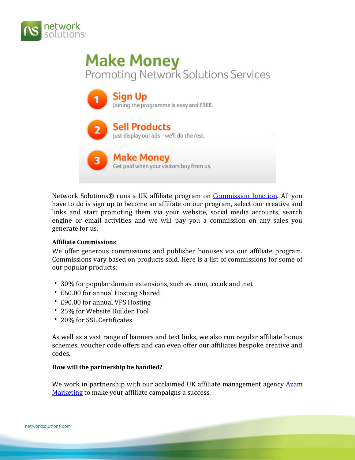

### **Make Money** Promoting Network Solutions Services



Network Solutions® runs a UK affiliate program on [Commission Junction.](https://signup.cj.com/member/brandedPublisherSignUp.do?air_refmerchantid=3187819) All you have to do is sign up to become an affiliate on our program, select our creative and links and start promoting them via your website, social media accounts, search engine or email activities and we will pay you a commission on any sales you generate for us.

#### **Affiliate Commissions**

We offer generous commissions and publisher bonuses via our affiliate program. Commissions vary based on products sold. Here is a list of commissions for some of our popular products:

- 30% for popular domain extensions, such as .com, .co.uk and .net
- £60.00 for annual Hosting Shared
- £90.00 for annual VPS Hosting
- 25% for Website Builder Tool
- 20% for SSL Certificates

As well as a vast range of banners and text links, we also run regular affiliate bonus schemes, voucher code offers and can even offer our affiliates bespoke creative and codes.

#### **How will the partnership be handled?**

We work in partnership with our acclaimed UK affiliate management agency Azam [Marketing](http://www.azam.net/) to make your affiliate campaigns a success.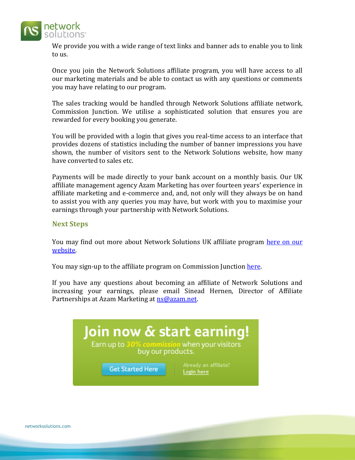

We provide you with a wide range of text links and banner ads to enable you to link to us.

Once you join the Network Solutions affiliate program, you will have access to all our marketing materials and be able to contact us with any questions or comments you may have relating to our program.

The sales tracking would be handled through Network Solutions affiliate network, Commission Junction. We utilise a sophisticated solution that ensures you are rewarded for every booking you generate.

You will be provided with a login that gives you real-time access to an interface that provides dozens of statistics including the number of banner impressions you have shown, the number of visitors sent to the Network Solutions website, how many have converted to sales etc.

Payments will be made directly to your bank account on a monthly basis. Our UK affiliate management agency Azam Marketing has over fourteen years' experience in affiliate marketing and e-commerce and, and, not only will they always be on hand to assist you with any queries you may have, but work with you to maximise your earnings through your partnership with Network Solutions.

#### **Next Steps**

You may find out more about Network Solutions UK affiliate program here on our [website.](http://www.networksolutions.com/uk-affiliate-program/index.jsp)

You may sign-up to the affiliate program on Commission Junction [here.](https://signup.cj.com/member/brandedPublisherSignUp.do?air_refmerchantid=3187819)

If you have any questions about becoming an affiliate of Network Solutions and increasing your earnings, please email Sinead Hernen, Director of Affiliate Partnerships at Azam Marketing at [ns@azam.net.](mailto:ns@azam.net)

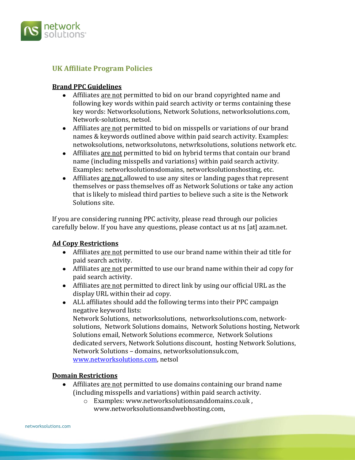

#### **UK Affiliate Program Policies**

#### **Brand PPC Guidelines**

- Affiliates are not permitted to bid on our brand copyrighted name and following key words within paid search activity or terms containing these key words: Networksolutions, Network Solutions, networksolutions.com, Network-solutions, netsol.
- Affiliates are not permitted to bid on misspells or variations of our brand names & keywords outlined above within paid search activity. Examples: netwoksolutions, networksolutons, netwrksolutions, solutions network etc.
- Affiliates are not permitted to bid on hybrid terms that contain our brand name (including misspells and variations) within paid search activity. Examples: networksolutionsdomains, networksolutionshosting, etc.
- Affiliates are not allowed to use any sites or landing pages that represent themselves or pass themselves off as Network Solutions or take any action that is likely to mislead third parties to believe such a site is the Network Solutions site.

If you are considering running PPC activity, please read through our policies carefully below. If you have any questions, please contact us at ns [at] azam.net.

#### **Ad Copy Restrictions**

- Affiliates are not permitted to use our brand name within their ad title for paid search activity.
- Affiliates are not permitted to use our brand name within their ad copy for paid search activity.
- Affiliates are not permitted to direct link by using our official URL as the display URL within their ad copy.
- ALL affiliates should add the following terms into their PPC campaign negative keyword lists: Network Solutions, networksolutions, networksolutions.com, networksolutions, Network Solutions domains, Network Solutions hosting, Network Solutions email, Network Solutions ecommerce, Network Solutions

dedicated servers, Network Solutions discount, hosting Network Solutions, Network Solutions – domains, networksolutionsuk.com, [www.networksolutions.com,](http://www.purpleparking.com/) netsol

#### **Domain Restrictions**

- Affiliates are not permitted to use domains containing our brand name (including misspells and variations) within paid search activity.
	- o Examples: www.networksolutionsanddomains.co.uk , www.networksolutionsandwebhosting.com,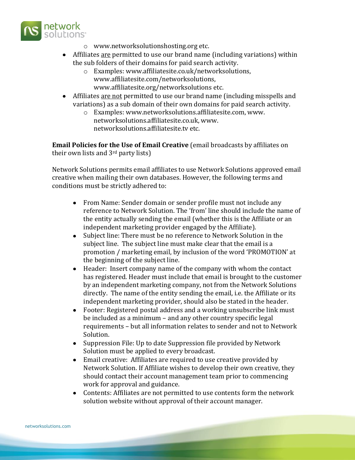

- o www.networksolutionshosting.org etc.
- Affiliates are permitted to use our brand name (including variations) within the sub folders of their domains for paid search activity.
	- o Examples: www.affiliatesite.co.uk/networksolutions, www.affiliatesite.com/networksolutions, www.affiliatesite.org/networksolutions etc.
- Affiliates are not permitted to use our brand name (including misspells and variations) as a sub domain of their own domains for paid search activity.
	- o Examples: www.networksolutions.affiliatesite.com, www. networksolutions.affiliatesite.co.uk, www. networksolutions.affiliatesite.tv etc.

**Email Policies for the Use of Email Creative** (email broadcasts by affiliates on their own lists and 3rd party lists)

Network Solutions permits email affiliates to use Network Solutions approved email creative when mailing their own databases. However, the following terms and conditions must be strictly adhered to:

- From Name: Sender domain or sender profile must not include any reference to Network Solution. The 'from' line should include the name of the entity actually sending the email (whether this is the Affiliate or an independent marketing provider engaged by the Affiliate).
- Subject line: There must be no reference to Network Solution in the subject line. The subject line must make clear that the email is a promotion / marketing email, by inclusion of the word 'PROMOTION' at the beginning of the subject line.
- Header: Insert company name of the company with whom the contact has registered. Header must include that email is brought to the customer by an independent marketing company, not from the Network Solutions directly. The name of the entity sending the email, i.e. the Affiliate or its independent marketing provider, should also be stated in the header.
- Footer: Registered postal address and a working unsubscribe link must be included as a minimum – and any other country specific legal requirements – but all information relates to sender and not to Network Solution.
- Suppression File: Up to date Suppression file provided by Network Solution must be applied to every broadcast.
- Email creative: Affiliates are required to use creative provided by Network Solution. If Affiliate wishes to develop their own creative, they should contact their account management team prior to commencing work for approval and guidance.
- Contents: Affiliates are not permitted to use contents form the network  $\bullet$ solution website without approval of their account manager.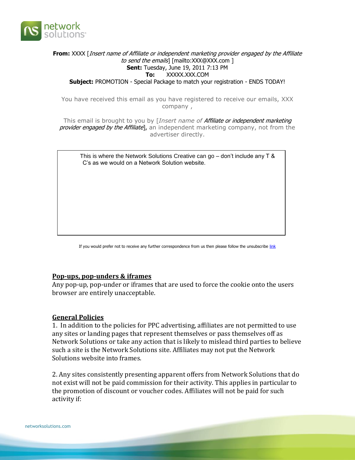

#### **From:** XXXX [Insert name of Affiliate or independent marketing provider engaged by the Affiliate to send the emails] [mailto:XXX@XXX.com ] **Sent:** Tuesday, June 19, 2011 7:13 PM **To:** XXXXX.XXX.COM **Subject:** PROMOTION - Special Package to match your registration - ENDS TODAY!

You have received this email as you have registered to receive our emails, XXX company ,

This email is brought to you by [*Insert name of* Affiliate or independent marketing provider engaged by the Affiliate], an independent marketing company, not from the advertiser directly.

 This is where the Network Solutions Creative can go – don't include any T & C's as we would on a Network Solution website.

If you would prefer not to receive any further correspondence from us then please follow the unsubscribe [link](http://e.mwmx05.com/util/opt_out.jsp?e=6X29_4gEnJh7TKwn59xpfue6lIigdrSe1u1bjPqMwMyg.A&s=8RUmbEMwXGT3lSMPqHQo82Q..A&v=9JVaMSZ047BlHp1FktsRRig..A)

#### **Pop-ups, pop-unders & iframes**

Any pop-up, pop-under or iframes that are used to force the cookie onto the users browser are entirely unacceptable.

#### **General Policies**

1. In addition to the policies for PPC advertising, affiliates are not permitted to use any sites or landing pages that represent themselves or pass themselves off as Network Solutions or take any action that is likely to mislead third parties to believe such a site is the Network Solutions site. Affiliates may not put the Network Solutions website into frames.

2. Any sites consistently presenting apparent offers from Network Solutions that do not exist will not be paid commission for their activity. This applies in particular to the promotion of discount or voucher codes. Affiliates will not be paid for such activity if: